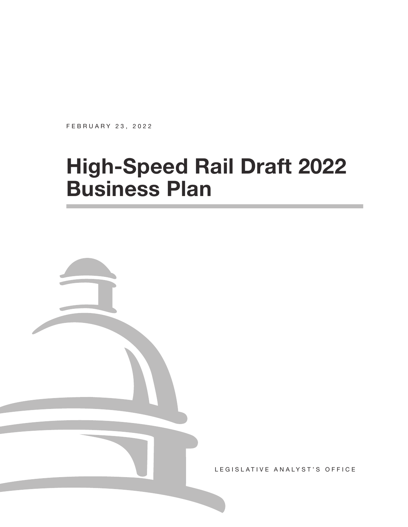FEBRUARY 23, 2022

# **High-Speed Rail Draft 2022 Business Plan**



LEGISLATIVE ANALYST'S OFFICE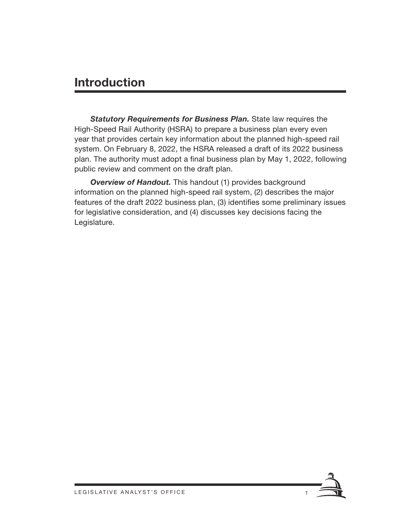### **Introduction**

*Statutory Requirements for Business Plan.* State law requires the High-Speed Rail Authority (HSRA) to prepare a business plan every even year that provides certain key information about the planned high-speed rail system. On February 8, 2022, the HSRA released a draft of its 2022 business plan. The authority must adopt a final business plan by May 1, 2022, following public review and comment on the draft plan.

*Overview of Handout.* This handout (1) provides background information on the planned high-speed rail system, (2) describes the major features of the draft 2022 business plan, (3) identifies some preliminary issues for legislative consideration, and (4) discusses key decisions facing the Legislature.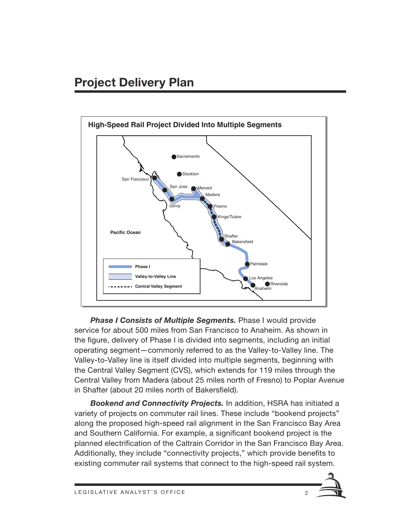

**Phase I Consists of Multiple Segments.** Phase I would provide service for about 500 miles from San Francisco to Anaheim. As shown in the figure, delivery of Phase I is divided into segments, including an initial operating segment—commonly referred to as the Valley-to-Valley line. The Valley-to-Valley line is itself divided into multiple segments, beginning with the Central Valley Segment (CVS), which extends for 119 miles through the Central Valley from Madera (about 25 miles north of Fresno) to Poplar Avenue in Shafter (about 20 miles north of Bakersfield).

*Bookend and Connectivity Projects.* In addition, HSRA has initiated a variety of projects on commuter rail lines. These include "bookend projects" along the proposed high-speed rail alignment in the San Francisco Bay Area and Southern California. For example, a significant bookend project is the planned electrification of the Caltrain Corridor in the San Francisco Bay Area. Additionally, they include "connectivity projects," which provide benefits to existing commuter rail systems that connect to the high-speed rail system.

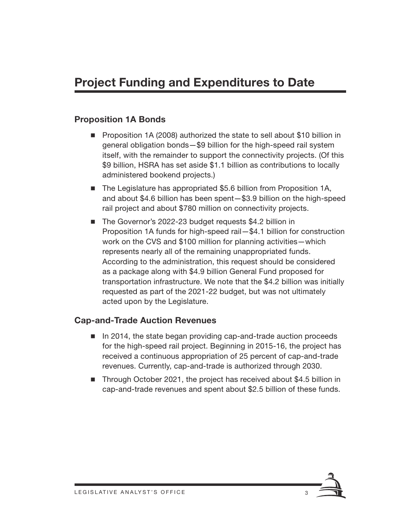# **Project Funding and Expenditures to Date**

#### **Proposition 1A Bonds**

- **Proposition 1A (2008) authorized the state to sell about \$10 billion in** general obligation bonds—\$9 billion for the high-speed rail system itself, with the remainder to support the connectivity projects. (Of this \$9 billion, HSRA has set aside \$1.1 billion as contributions to locally administered bookend projects.)
- The Legislature has appropriated \$5.6 billion from Proposition 1A, and about \$4.6 billion has been spent—\$3.9 billion on the high-speed rail project and about \$780 million on connectivity projects.
- The Governor's 2022-23 budget requests \$4.2 billion in Proposition 1A funds for high-speed rail—\$4.1 billion for construction work on the CVS and \$100 million for planning activities—which represents nearly all of the remaining unappropriated funds. According to the administration, this request should be considered as a package along with \$4.9 billion General Fund proposed for transportation infrastructure. We note that the \$4.2 billion was initially requested as part of the 2021-22 budget, but was not ultimately acted upon by the Legislature.

#### **Cap-and-Trade Auction Revenues**

- In 2014, the state began providing cap-and-trade auction proceeds for the high-speed rail project. Beginning in 2015-16, the project has received a continuous appropriation of 25 percent of cap-and-trade revenues. Currently, cap-and-trade is authorized through 2030.
- Through October 2021, the project has received about \$4.5 billion in cap-and-trade revenues and spent about \$2.5 billion of these funds.

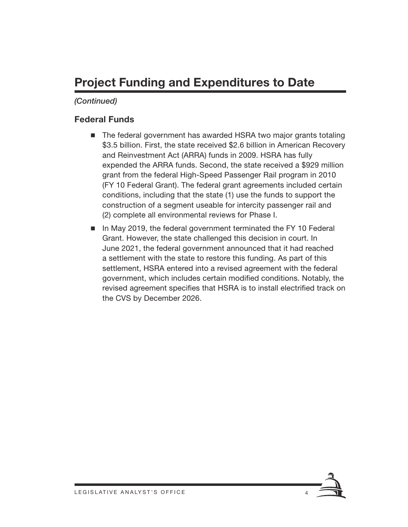# **Project Funding and Expenditures to Date**

### *(Continued)*

### **Federal Funds**

- The federal government has awarded HSRA two major grants totaling \$3.5 billion. First, the state received \$2.6 billion in American Recovery and Reinvestment Act (ARRA) funds in 2009. HSRA has fully expended the ARRA funds. Second, the state received a \$929 million grant from the federal High-Speed Passenger Rail program in 2010 (FY 10 Federal Grant). The federal grant agreements included certain conditions, including that the state (1) use the funds to support the construction of a segment useable for intercity passenger rail and (2) complete all environmental reviews for Phase I.
- In May 2019, the federal government terminated the FY 10 Federal Grant. However, the state challenged this decision in court. In June 2021, the federal government announced that it had reached a settlement with the state to restore this funding. As part of this settlement, HSRA entered into a revised agreement with the federal government, which includes certain modified conditions. Notably, the revised agreement specifies that HSRA is to install electrified track on the CVS by December 2026.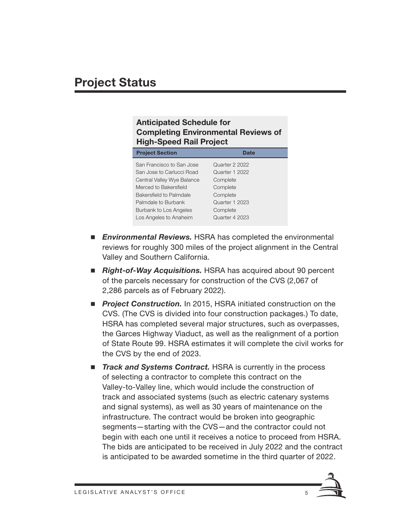# **Project Status**

#### **Anticipated Schedule for Completing Environmental Reviews of High-Speed Rail Project**

| <b>Project Section</b>     | Date           |
|----------------------------|----------------|
| San Francisco to San Jose  | Quarter 2 2022 |
| San Jose to Carlucci Road  | Quarter 1 2022 |
| Central Valley Wye Balance | Complete       |
| Merced to Bakersfield      | Complete       |
| Bakersfield to Palmdale    | Complete       |
| Palmdale to Burbank        | Quarter 1 2023 |
| Burbank to Los Angeles     | Complete       |
| Los Angeles to Anaheim     | Quarter 4 2023 |

- *Environmental Reviews.* HSRA has completed the environmental reviews for roughly 300 miles of the project alignment in the Central Valley and Southern California.
- *Right-of-Way Acquisitions.* HSRA has acquired about 90 percent of the parcels necessary for construction of the CVS (2,067 of 2,286 parcels as of February 2022).
- **Project Construction.** In 2015, HSRA initiated construction on the CVS. (The CVS is divided into four construction packages.) To date, HSRA has completed several major structures, such as overpasses, the Garces Highway Viaduct, as well as the realignment of a portion of State Route 99. HSRA estimates it will complete the civil works for the CVS by the end of 2023.
- *Track and Systems Contract.* HSRA is currently in the process of selecting a contractor to complete this contract on the Valley-to-Valley line, which would include the construction of track and associated systems (such as electric catenary systems and signal systems), as well as 30 years of maintenance on the infrastructure. The contract would be broken into geographic segments—starting with the CVS—and the contractor could not begin with each one until it receives a notice to proceed from HSRA. The bids are anticipated to be received in July 2022 and the contract is anticipated to be awarded sometime in the third quarter of 2022.

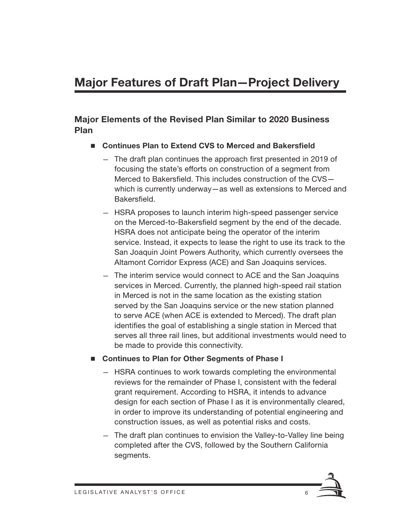# **Major Features of Draft Plan—Project Delivery**

#### **Major Elements of the Revised Plan Similar to 2020 Business Plan**

- Continues Plan to Extend CVS to Merced and Bakersfield
	- The draft plan continues the approach first presented in 2019 of focusing the state's efforts on construction of a segment from Merced to Bakersfield. This includes construction of the CVS which is currently underway—as well as extensions to Merced and Bakersfield.
	- HSRA proposes to launch interim high-speed passenger service on the Merced-to-Bakersfield segment by the end of the decade. HSRA does not anticipate being the operator of the interim service. Instead, it expects to lease the right to use its track to the San Joaquin Joint Powers Authority, which currently oversees the Altamont Corridor Express (ACE) and San Joaquins services.
	- The interim service would connect to ACE and the San Joaquins services in Merced. Currently, the planned high-speed rail station in Merced is not in the same location as the existing station served by the San Joaquins service or the new station planned to serve ACE (when ACE is extended to Merced). The draft plan identifies the goal of establishing a single station in Merced that serves all three rail lines, but additional investments would need to be made to provide this connectivity.
- Continues to Plan for Other Segments of Phase I
	- HSRA continues to work towards completing the environmental reviews for the remainder of Phase I, consistent with the federal grant requirement. According to HSRA, it intends to advance design for each section of Phase I as it is environmentally cleared, in order to improve its understanding of potential engineering and construction issues, as well as potential risks and costs.
	- The draft plan continues to envision the Valley-to-Valley line being completed after the CVS, followed by the Southern California segments.

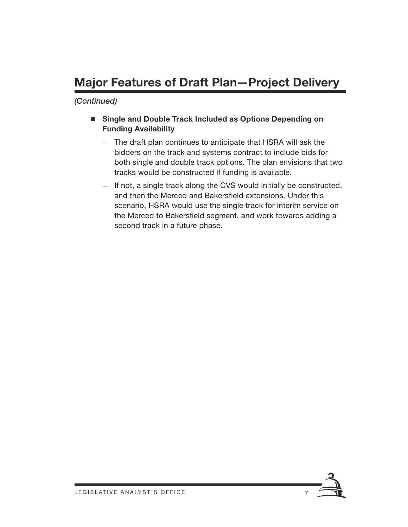# **Major Features of Draft Plan—Project Delivery**

- Single and Double Track Included as Options Depending on **Funding Availability**
	- The draft plan continues to anticipate that HSRA will ask the bidders on the track and systems contract to include bids for both single and double track options. The plan envisions that two tracks would be constructed if funding is available.
	- If not, a single track along the CVS would initially be constructed, and then the Merced and Bakersfield extensions. Under this scenario, HSRA would use the single track for interim service on the Merced to Bakersfield segment, and work towards adding a second track in a future phase.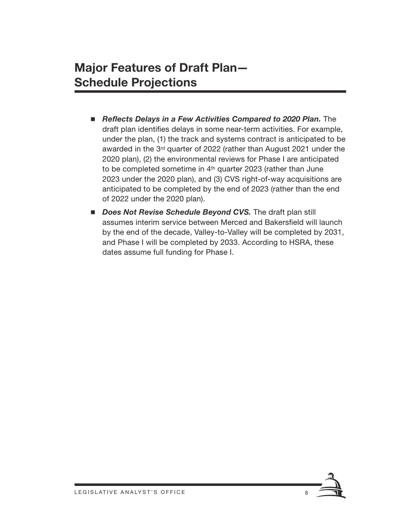### **Major Features of Draft Plan— Schedule Projections**

- **Reflects Delays in a Few Activities Compared to 2020 Plan.** The draft plan identifies delays in some near-term activities. For example, under the plan, (1) the track and systems contract is anticipated to be awarded in the 3rd quarter of 2022 (rather than August 2021 under the 2020 plan), (2) the environmental reviews for Phase I are anticipated to be completed sometime in 4<sup>th</sup> quarter 2023 (rather than June 2023 under the 2020 plan), and (3) CVS right-of-way acquisitions are anticipated to be completed by the end of 2023 (rather than the end of 2022 under the 2020 plan).
- *Does Not Revise Schedule Beyond CVS.* The draft plan still assumes interim service between Merced and Bakersfield will launch by the end of the decade, Valley-to-Valley will be completed by 2031, and Phase I will be completed by 2033. According to HSRA, these dates assume full funding for Phase I.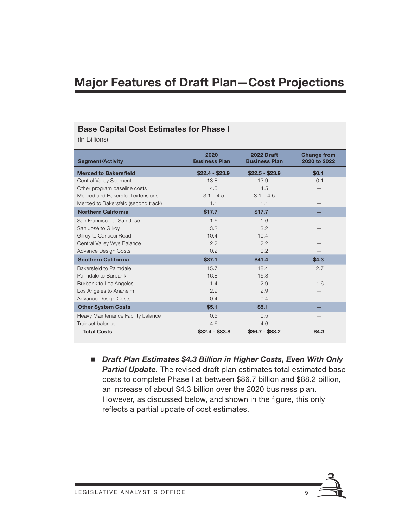### **Major Features of Draft Plan—Cost Projections**

#### **Base Capital Cost Estimates for Phase I**

(In Billions)

| <b>Segment/Activity</b>             | 2020<br><b>Business Plan</b> | 2022 Draft<br><b>Business Plan</b> | <b>Change from</b><br>2020 to 2022 |
|-------------------------------------|------------------------------|------------------------------------|------------------------------------|
| <b>Merced to Bakersfield</b>        | $$22.4 - $23.9$              | $$22.5 - $23.9$                    | \$0.1                              |
| <b>Central Valley Segment</b>       | 13.8                         | 13.9                               | 0.1                                |
| Other program baseline costs        | 4.5                          | 4.5                                |                                    |
| Merced and Bakersfeld extensions    | $3.1 - 4.5$                  | $3.1 - 4.5$                        |                                    |
| Merced to Bakersfeld (second track) | 1.1                          | 1.1                                |                                    |
| <b>Northern California</b>          | \$17.7                       | \$17.7                             |                                    |
| San Francisco to San José           | 1.6                          | 1.6                                |                                    |
| San José to Gilroy                  | 3.2                          | 3.2                                |                                    |
| Gilroy to Carlucci Road             | 10.4                         | 10.4                               |                                    |
| Central Valley Wye Balance          | 2.2                          | 2.2                                |                                    |
| <b>Advance Design Costs</b>         | 0.2                          | 0.2                                |                                    |
| <b>Southern California</b>          | \$37.1                       | \$41.4                             | \$4.3                              |
| Bakersfeld to Palmdale              | 15.7                         | 18.4                               | 2.7                                |
| Palmdale to Burbank                 | 16.8                         | 16.8                               |                                    |
| Burbank to Los Angeles              | 1.4                          | 2.9                                | 1.6                                |
| Los Angeles to Anaheim              | 2.9                          | 2.9                                |                                    |
| <b>Advance Design Costs</b>         | 0.4                          | 0.4                                |                                    |
| <b>Other System Costs</b>           | \$5.1                        | \$5.1                              |                                    |
| Heavy Maintenance Facility balance  | 0.5                          | 0.5                                |                                    |
| Trainset balance                    | 4.6                          | 4.6                                |                                    |
| <b>Total Costs</b>                  | $$82.4 - $83.8$              | $$86.7 - $88.2$                    | \$4.3                              |

■ *Draft Plan Estimates \$4.3 Billion in Higher Costs, Even With Only Partial Update.* The revised draft plan estimates total estimated base costs to complete Phase I at between \$86.7 billion and \$88.2 billion, an increase of about \$4.3 billion over the 2020 business plan. However, as discussed below, and shown in the figure, this only reflects a partial update of cost estimates.

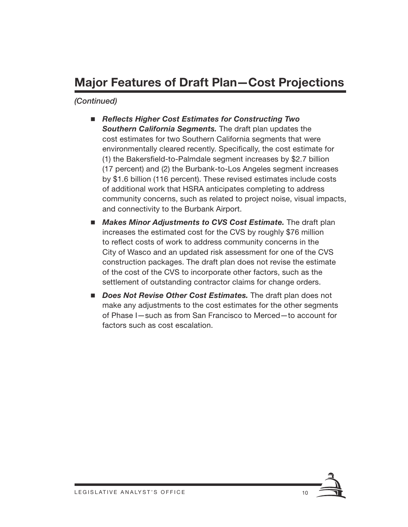# **Major Features of Draft Plan—Cost Projections**

- Reflects Higher Cost Estimates for Constructing Two *Southern California Segments.* The draft plan updates the cost estimates for two Southern California segments that were environmentally cleared recently. Specifically, the cost estimate for (1) the Bakersfield-to-Palmdale segment increases by \$2.7 billion (17 percent) and (2) the Burbank-to-Los Angeles segment increases by \$1.6 billion (116 percent). These revised estimates include costs of additional work that HSRA anticipates completing to address community concerns, such as related to project noise, visual impacts, and connectivity to the Burbank Airport.
- **Makes Minor Adjustments to CVS Cost Estimate.** The draft plan increases the estimated cost for the CVS by roughly \$76 million to reflect costs of work to address community concerns in the City of Wasco and an updated risk assessment for one of the CVS construction packages. The draft plan does not revise the estimate of the cost of the CVS to incorporate other factors, such as the settlement of outstanding contractor claims for change orders.
- **Does Not Revise Other Cost Estimates.** The draft plan does not make any adjustments to the cost estimates for the other segments of Phase I—such as from San Francisco to Merced—to account for factors such as cost escalation.

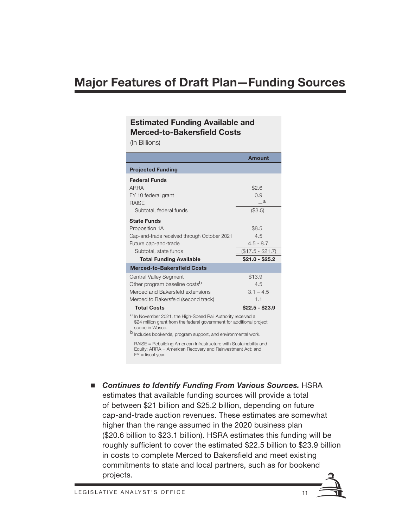### **Major Features of Draft Plan—Funding Sources**

#### **Estimated Funding Available and Merced-to-Bakersfield Costs**

(In Billions)

|                                                                                                                                                          | <b>Amount</b>     |  |
|----------------------------------------------------------------------------------------------------------------------------------------------------------|-------------------|--|
| <b>Projected Funding</b>                                                                                                                                 |                   |  |
| <b>Federal Funds</b>                                                                                                                                     |                   |  |
| <b>ARRA</b>                                                                                                                                              | \$2.6             |  |
| FY 10 federal grant                                                                                                                                      | 0.9               |  |
| <b>RAISE</b>                                                                                                                                             | $\_a$             |  |
| Subtotal, federal funds                                                                                                                                  | (\$3.5)           |  |
| <b>State Funds</b>                                                                                                                                       |                   |  |
| Proposition 1A                                                                                                                                           | \$8.5             |  |
| Cap-and-trade received through October 2021                                                                                                              | 4.5               |  |
| Future cap-and-trade                                                                                                                                     | $4.5 - 8.7$       |  |
| Subtotal, state funds                                                                                                                                    | $($17.5 - $21.7)$ |  |
| <b>Total Funding Available</b>                                                                                                                           | $$21.0 - $25.2$   |  |
| <b>Merced-to-Bakersfield Costs</b>                                                                                                                       |                   |  |
| <b>Central Valley Segment</b>                                                                                                                            | \$13.9            |  |
| Other program baseline costs <sup>b</sup>                                                                                                                | 4.5               |  |
| Merced and Bakersfeld extensions                                                                                                                         | $3.1 - 4.5$       |  |
| Merced to Bakersfeld (second track)                                                                                                                      | 1.1               |  |
| <b>Total Costs</b>                                                                                                                                       | $$22.5 - $23.9$   |  |
| a In November 2021, the High-Speed Rail Authority received a<br>\$24 million grant from the federal government for additional project<br>scope in Wasco. |                   |  |
| Includes bookends, program support, and environmental work.                                                                                              |                   |  |
| RAISE = Rebuilding American Infrastructure with Sustainability and                                                                                       |                   |  |

Equity; ARRA = American Recovery and Reinvestment Act; and  $FY =$  fiscal year.

■ Continues to Identify Funding From Various Sources. HSRA estimates that available funding sources will provide a total of between \$21 billion and \$25.2 billion, depending on future cap-and-trade auction revenues. These estimates are somewhat higher than the range assumed in the 2020 business plan (\$20.6 billion to \$23.1 billion). HSRA estimates this funding will be roughly sufficient to cover the estimated \$22.5 billion to \$23.9 billion in costs to complete Merced to Bakersfield and meet existing commitments to state and local partners, such as for bookend projects.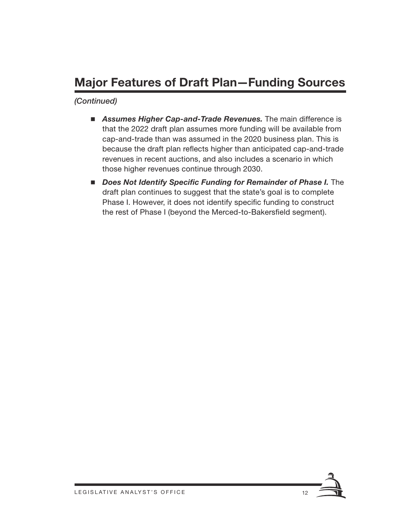# **Major Features of Draft Plan—Funding Sources**

- **Assumes Higher Cap-and-Trade Revenues.** The main difference is that the 2022 draft plan assumes more funding will be available from cap-and-trade than was assumed in the 2020 business plan. This is because the draft plan reflects higher than anticipated cap-and-trade revenues in recent auctions, and also includes a scenario in which those higher revenues continue through 2030.
- **Does Not Identify Specific Funding for Remainder of Phase I.** The draft plan continues to suggest that the state's goal is to complete Phase I. However, it does not identify specific funding to construct the rest of Phase I (beyond the Merced-to-Bakersfield segment).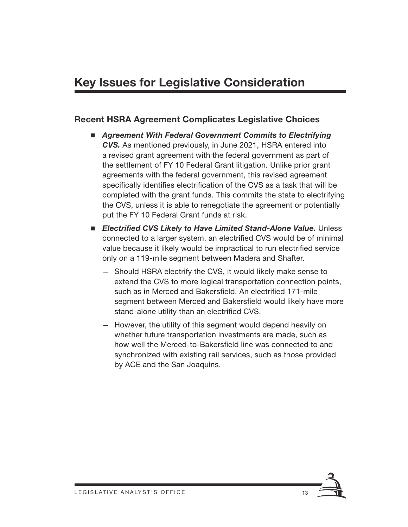#### **Recent HSRA Agreement Complicates Legislative Choices**

- Agreement With Federal Government Commits to Electrifying *CVS.* As mentioned previously, in June 2021, HSRA entered into a revised grant agreement with the federal government as part of the settlement of FY 10 Federal Grant litigation. Unlike prior grant agreements with the federal government, this revised agreement specifically identifies electrification of the CVS as a task that will be completed with the grant funds. This commits the state to electrifying the CVS, unless it is able to renegotiate the agreement or potentially put the FY 10 Federal Grant funds at risk.
- **Electrified CVS Likely to Have Limited Stand-Alone Value.** Unless connected to a larger system, an electrified CVS would be of minimal value because it likely would be impractical to run electrified service only on a 119-mile segment between Madera and Shafter.
	- Should HSRA electrify the CVS, it would likely make sense to extend the CVS to more logical transportation connection points, such as in Merced and Bakersfield. An electrified 171-mile segment between Merced and Bakersfield would likely have more stand-alone utility than an electrified CVS.
	- However, the utility of this segment would depend heavily on whether future transportation investments are made, such as how well the Merced-to-Bakersfield line was connected to and synchronized with existing rail services, such as those provided by ACE and the San Joaquins.

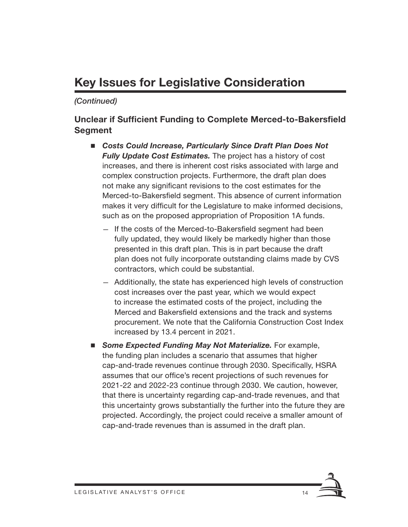# **Key Issues for Legislative Consideration**

#### *(Continued)*

#### **Unclear if Sufficient Funding to Complete Merced-to-Bakersfield Segment**

- Costs Could Increase, Particularly Since Draft Plan Does Not *Fully Update Cost Estimates.* The project has a history of cost increases, and there is inherent cost risks associated with large and complex construction projects. Furthermore, the draft plan does not make any significant revisions to the cost estimates for the Merced-to-Bakersfield segment. This absence of current information makes it very difficult for the Legislature to make informed decisions, such as on the proposed appropriation of Proposition 1A funds.
	- If the costs of the Merced-to-Bakersfield segment had been fully updated, they would likely be markedly higher than those presented in this draft plan. This is in part because the draft plan does not fully incorporate outstanding claims made by CVS contractors, which could be substantial.
	- Additionally, the state has experienced high levels of construction cost increases over the past year, which we would expect to increase the estimated costs of the project, including the Merced and Bakersfield extensions and the track and systems procurement. We note that the California Construction Cost Index increased by 13.4 percent in 2021.
- **E** Some Expected Funding May Not Materialize. For example, the funding plan includes a scenario that assumes that higher cap-and-trade revenues continue through 2030. Specifically, HSRA assumes that our office's recent projections of such revenues for 2021-22 and 2022-23 continue through 2030. We caution, however, that there is uncertainty regarding cap-and-trade revenues, and that this uncertainty grows substantially the further into the future they are projected. Accordingly, the project could receive a smaller amount of cap-and-trade revenues than is assumed in the draft plan.

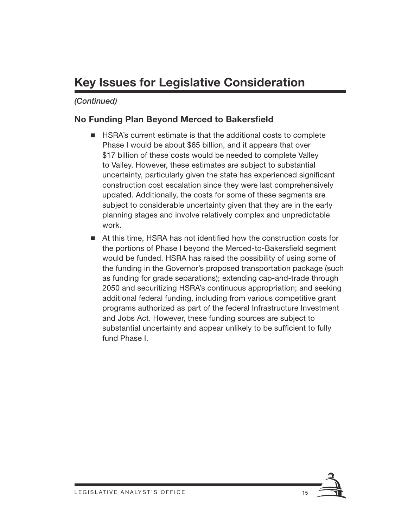# **Key Issues for Legislative Consideration**

#### *(Continued)*

#### **No Funding Plan Beyond Merced to Bakersfield**

- **HSRA's current estimate is that the additional costs to complete** Phase I would be about \$65 billion, and it appears that over \$17 billion of these costs would be needed to complete Valley to Valley. However, these estimates are subject to substantial uncertainty, particularly given the state has experienced significant construction cost escalation since they were last comprehensively updated. Additionally, the costs for some of these segments are subject to considerable uncertainty given that they are in the early planning stages and involve relatively complex and unpredictable work.
- At this time, HSRA has not identified how the construction costs for the portions of Phase I beyond the Merced-to-Bakersfield segment would be funded. HSRA has raised the possibility of using some of the funding in the Governor's proposed transportation package (such as funding for grade separations); extending cap-and-trade through 2050 and securitizing HSRA's continuous appropriation; and seeking additional federal funding, including from various competitive grant programs authorized as part of the federal Infrastructure Investment and Jobs Act. However, these funding sources are subject to substantial uncertainty and appear unlikely to be sufficient to fully fund Phase I.

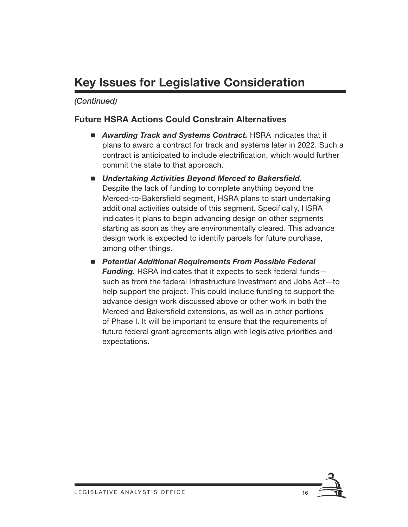# **Key Issues for Legislative Consideration**

#### *(Continued)*

#### **Future HSRA Actions Could Constrain Alternatives**

- *Awarding Track and Systems Contract.* HSRA indicates that it plans to award a contract for track and systems later in 2022. Such a contract is anticipated to include electrification, which would further commit the state to that approach.
- Undertaking Activities Beyond Merced to Bakersfield. Despite the lack of funding to complete anything beyond the Merced-to-Bakersfield segment, HSRA plans to start undertaking additional activities outside of this segment. Specifically, HSRA indicates it plans to begin advancing design on other segments starting as soon as they are environmentally cleared. This advance design work is expected to identify parcels for future purchase, among other things.
- Potential Additional Requirements From Possible Federal *Funding.* HSRA indicates that it expects to seek federal funds such as from the federal Infrastructure Investment and Jobs Act—to help support the project. This could include funding to support the advance design work discussed above or other work in both the Merced and Bakersfield extensions, as well as in other portions of Phase I. It will be important to ensure that the requirements of future federal grant agreements align with legislative priorities and expectations.

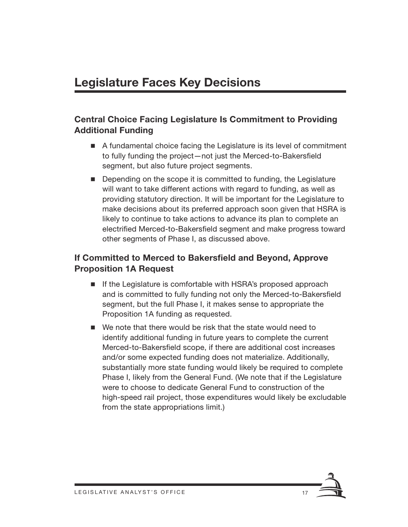### **Central Choice Facing Legislature Is Commitment to Providing Additional Funding**

- A fundamental choice facing the Legislature is its level of commitment to fully funding the project—not just the Merced-to-Bakersfield segment, but also future project segments.
- Depending on the scope it is committed to funding, the Legislature will want to take different actions with regard to funding, as well as providing statutory direction. It will be important for the Legislature to make decisions about its preferred approach soon given that HSRA is likely to continue to take actions to advance its plan to complete an electrified Merced-to-Bakersfield segment and make progress toward other segments of Phase I, as discussed above.

### **If Committed to Merced to Bakersfield and Beyond, Approve Proposition 1A Request**

- If the Legislature is comfortable with HSRA's proposed approach and is committed to fully funding not only the Merced-to-Bakersfield segment, but the full Phase I, it makes sense to appropriate the Proposition 1A funding as requested.
- We note that there would be risk that the state would need to identify additional funding in future years to complete the current Merced-to-Bakersfield scope, if there are additional cost increases and/or some expected funding does not materialize. Additionally, substantially more state funding would likely be required to complete Phase I, likely from the General Fund. (We note that if the Legislature were to choose to dedicate General Fund to construction of the high-speed rail project, those expenditures would likely be excludable from the state appropriations limit.)

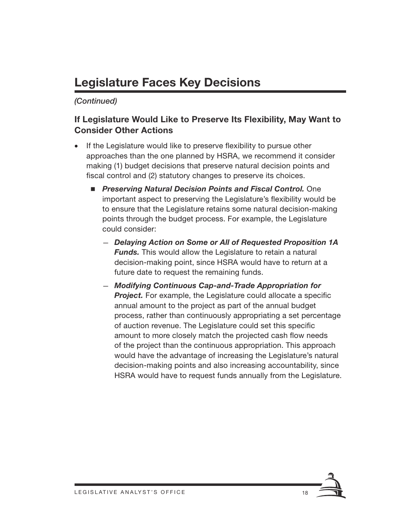# **Legislature Faces Key Decisions**

*(Continued)*

### **If Legislature Would Like to Preserve Its Flexibility, May Want to Consider Other Actions**

- If the Legislature would like to preserve flexibility to pursue other approaches than the one planned by HSRA, we recommend it consider making (1) budget decisions that preserve natural decision points and fiscal control and (2) statutory changes to preserve its choices.
	- *Preserving Natural Decision Points and Fiscal Control. One* important aspect to preserving the Legislature's flexibility would be to ensure that the Legislature retains some natural decision-making points through the budget process. For example, the Legislature could consider:
		- *Delaying Action on Some or All of Requested Proposition 1A Funds.* This would allow the Legislature to retain a natural decision-making point, since HSRA would have to return at a future date to request the remaining funds.
		- *Modifying Continuous Cap-and-Trade Appropriation for*  **Project.** For example, the Legislature could allocate a specific annual amount to the project as part of the annual budget process, rather than continuously appropriating a set percentage of auction revenue. The Legislature could set this specific amount to more closely match the projected cash flow needs of the project than the continuous appropriation. This approach would have the advantage of increasing the Legislature's natural decision-making points and also increasing accountability, since HSRA would have to request funds annually from the Legislature.